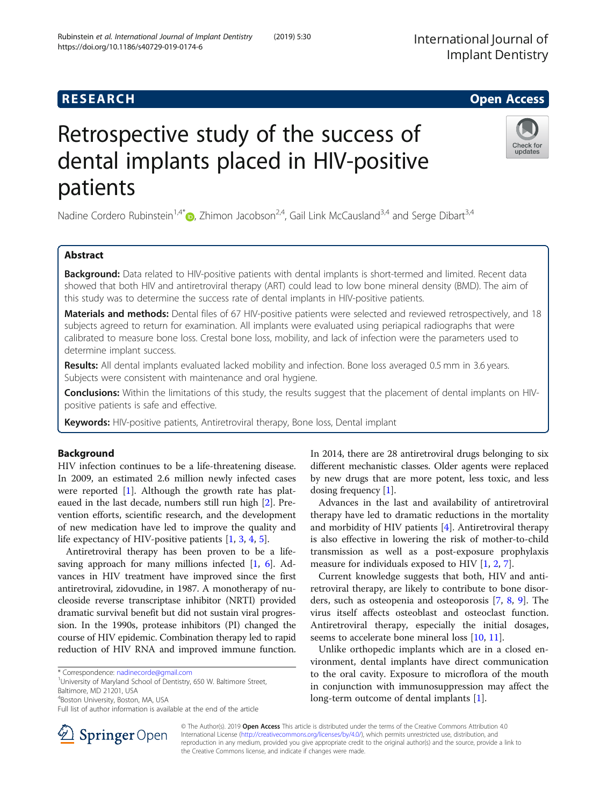# **RESEARCH CHE Open Access**

# Retrospective study of the success of dental implants placed in HIV-positive patients

Nadine Cordero Rubinstein<sup>1[,](http://orcid.org/0000-0002-9397-9259)4\*</sup>  $\odot$ , Zhimon Jacobson<sup>2,4</sup>, Gail Link McCausland<sup>3,4</sup> and Serge Dibart<sup>3,4</sup>

# Abstract

Background: Data related to HIV-positive patients with dental implants is short-termed and limited. Recent data showed that both HIV and antiretroviral therapy (ART) could lead to low bone mineral density (BMD). The aim of this study was to determine the success rate of dental implants in HIV-positive patients.

Materials and methods: Dental files of 67 HIV-positive patients were selected and reviewed retrospectively, and 18 subjects agreed to return for examination. All implants were evaluated using periapical radiographs that were calibrated to measure bone loss. Crestal bone loss, mobility, and lack of infection were the parameters used to determine implant success.

Results: All dental implants evaluated lacked mobility and infection. Bone loss averaged 0.5 mm in 3.6 years. Subjects were consistent with maintenance and oral hygiene.

Conclusions: Within the limitations of this study, the results suggest that the placement of dental implants on HIVpositive patients is safe and effective.

Keywords: HIV-positive patients, Antiretroviral therapy, Bone loss, Dental implant

## Background

HIV infection continues to be a life-threatening disease. In 2009, an estimated 2.6 million newly infected cases were reported [[1\]](#page-3-0). Although the growth rate has plateaued in the last decade, numbers still run high [[2\]](#page-3-0). Prevention efforts, scientific research, and the development of new medication have led to improve the quality and life expectancy of HIV-positive patients [\[1](#page-3-0), [3](#page-3-0), [4](#page-3-0), [5](#page-3-0)].

Antiretroviral therapy has been proven to be a life-saving approach for many millions infected [\[1](#page-3-0), [6\]](#page-3-0). Advances in HIV treatment have improved since the first antiretroviral, zidovudine, in 1987. A monotherapy of nucleoside reverse transcriptase inhibitor (NRTI) provided dramatic survival benefit but did not sustain viral progression. In the 1990s, protease inhibitors (PI) changed the course of HIV epidemic. Combination therapy led to rapid reduction of HIV RNA and improved immune function.

<sup>1</sup>University of Maryland School of Dentistry, 650 W. Baltimore Street,

4 Boston University, Boston, MA, USA

In 2014, there are 28 antiretroviral drugs belonging to six different mechanistic classes. Older agents were replaced by new drugs that are more potent, less toxic, and less dosing frequency [[1\]](#page-3-0).

Advances in the last and availability of antiretroviral therapy have led to dramatic reductions in the mortality and morbidity of HIV patients [[4\]](#page-3-0). Antiretroviral therapy is also effective in lowering the risk of mother-to-child transmission as well as a post-exposure prophylaxis measure for individuals exposed to HIV [\[1](#page-3-0), [2](#page-3-0), [7](#page-3-0)].

Current knowledge suggests that both, HIV and antiretroviral therapy, are likely to contribute to bone disorders, such as osteopenia and osteoporosis [[7,](#page-3-0) [8](#page-3-0), [9](#page-3-0)]. The virus itself affects osteoblast and osteoclast function. Antiretroviral therapy, especially the initial dosages, seems to accelerate bone mineral loss [[10,](#page-3-0) [11\]](#page-3-0).

Unlike orthopedic implants which are in a closed environment, dental implants have direct communication to the oral cavity. Exposure to microflora of the mouth in conjunction with immunosuppression may affect the long-term outcome of dental implants [[1](#page-3-0)].

\* Correspondence: [nadinecorde@gmail.com](mailto:nadinecorde@gmail.com) <sup>1</sup>

Baltimore, MD 21201, USA



Rubinstein et al. International Journal of Implant Dentistry (2019) 5:30 https://doi.org/10.1186/s40729-019-0174-6







Full list of author information is available at the end of the article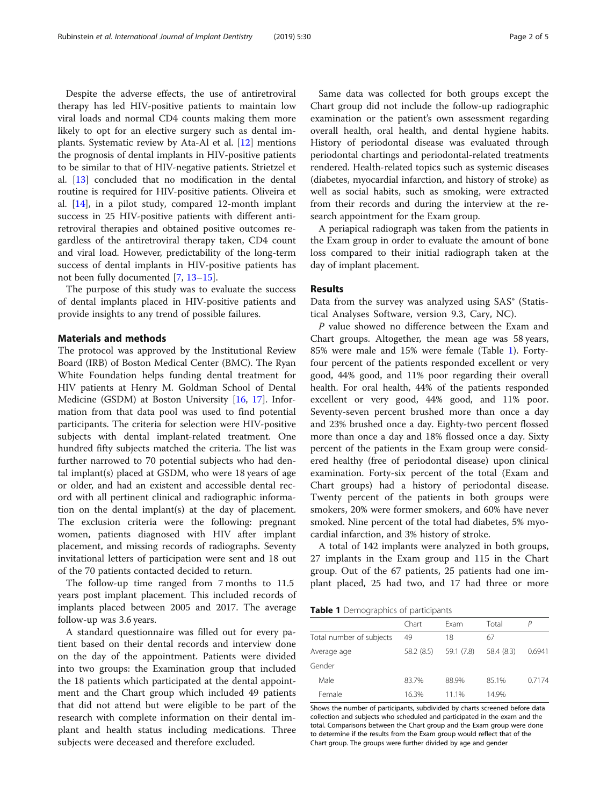Despite the adverse effects, the use of antiretroviral therapy has led HIV-positive patients to maintain low viral loads and normal CD4 counts making them more likely to opt for an elective surgery such as dental implants. Systematic review by Ata-Al et al. [[12\]](#page-4-0) mentions the prognosis of dental implants in HIV-positive patients to be similar to that of HIV-negative patients. Strietzel et al. [\[13](#page-4-0)] concluded that no modification in the dental routine is required for HIV-positive patients. Oliveira et al. [[14\]](#page-4-0), in a pilot study, compared 12-month implant success in 25 HIV-positive patients with different antiretroviral therapies and obtained positive outcomes regardless of the antiretroviral therapy taken, CD4 count and viral load. However, predictability of the long-term success of dental implants in HIV-positive patients has not been fully documented [\[7,](#page-3-0) [13](#page-4-0)–[15\]](#page-4-0).

The purpose of this study was to evaluate the success of dental implants placed in HIV-positive patients and provide insights to any trend of possible failures.

#### Materials and methods

The protocol was approved by the Institutional Review Board (IRB) of Boston Medical Center (BMC). The Ryan White Foundation helps funding dental treatment for HIV patients at Henry M. Goldman School of Dental Medicine (GSDM) at Boston University [\[16](#page-4-0), [17](#page-4-0)]. Information from that data pool was used to find potential participants. The criteria for selection were HIV-positive subjects with dental implant-related treatment. One hundred fifty subjects matched the criteria. The list was further narrowed to 70 potential subjects who had dental implant(s) placed at GSDM, who were 18 years of age or older, and had an existent and accessible dental record with all pertinent clinical and radiographic information on the dental implant(s) at the day of placement. The exclusion criteria were the following: pregnant women, patients diagnosed with HIV after implant placement, and missing records of radiographs. Seventy invitational letters of participation were sent and 18 out of the 70 patients contacted decided to return.

The follow-up time ranged from 7 months to 11.5 years post implant placement. This included records of implants placed between 2005 and 2017. The average follow-up was 3.6 years.

A standard questionnaire was filled out for every patient based on their dental records and interview done on the day of the appointment. Patients were divided into two groups: the Examination group that included the 18 patients which participated at the dental appointment and the Chart group which included 49 patients that did not attend but were eligible to be part of the research with complete information on their dental implant and health status including medications. Three subjects were deceased and therefore excluded.

Same data was collected for both groups except the Chart group did not include the follow-up radiographic examination or the patient's own assessment regarding overall health, oral health, and dental hygiene habits. History of periodontal disease was evaluated through periodontal chartings and periodontal-related treatments rendered. Health-related topics such as systemic diseases (diabetes, myocardial infarction, and history of stroke) as well as social habits, such as smoking, were extracted from their records and during the interview at the research appointment for the Exam group.

A periapical radiograph was taken from the patients in the Exam group in order to evaluate the amount of bone loss compared to their initial radiograph taken at the day of implant placement.

#### Results

Data from the survey was analyzed using SAS® (Statistical Analyses Software, version 9.3, Cary, NC).

P value showed no difference between the Exam and Chart groups. Altogether, the mean age was 58 years, 85% were male and 15% were female (Table 1). Fortyfour percent of the patients responded excellent or very good, 44% good, and 11% poor regarding their overall health. For oral health, 44% of the patients responded excellent or very good, 44% good, and 11% poor. Seventy-seven percent brushed more than once a day and 23% brushed once a day. Eighty-two percent flossed more than once a day and 18% flossed once a day. Sixty percent of the patients in the Exam group were considered healthy (free of periodontal disease) upon clinical examination. Forty-six percent of the total (Exam and Chart groups) had a history of periodontal disease. Twenty percent of the patients in both groups were smokers, 20% were former smokers, and 60% have never smoked. Nine percent of the total had diabetes, 5% myocardial infarction, and 3% history of stroke.

A total of 142 implants were analyzed in both groups, 27 implants in the Exam group and 115 in the Chart group. Out of the 67 patients, 25 patients had one implant placed, 25 had two, and 17 had three or more

| Table 1 Demographics of participants |  |
|--------------------------------------|--|
|--------------------------------------|--|

| <b>Existence I</b> Demographies or participants |            |            |            |        |  |
|-------------------------------------------------|------------|------------|------------|--------|--|
|                                                 | Chart      | Fxam       | Total      |        |  |
| Total number of subjects                        | 49         | 18         | 67         |        |  |
| Average age                                     | 58.2 (8.5) | 59.1 (7.8) | 58.4 (8.3) | 0.6941 |  |
| Gender                                          |            |            |            |        |  |
| Male                                            | 83.7%      | 88.9%      | 85.1%      | 0.7174 |  |
| Female                                          | 16.3%      | 11.1%      | 14.9%      |        |  |
|                                                 |            |            |            |        |  |

Shows the number of participants, subdivided by charts screened before data collection and subjects who scheduled and participated in the exam and the total. Comparisons between the Chart group and the Exam group were done to determine if the results from the Exam group would reflect that of the Chart group. The groups were further divided by age and gender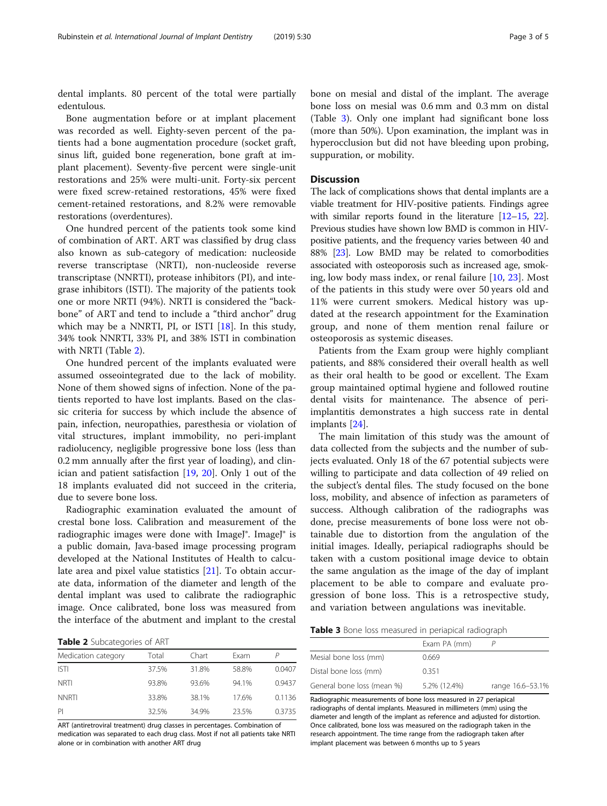dental implants. 80 percent of the total were partially edentulous.

Bone augmentation before or at implant placement was recorded as well. Eighty-seven percent of the patients had a bone augmentation procedure (socket graft, sinus lift, guided bone regeneration, bone graft at implant placement). Seventy-five percent were single-unit restorations and 25% were multi-unit. Forty-six percent were fixed screw-retained restorations, 45% were fixed cement-retained restorations, and 8.2% were removable restorations (overdentures).

One hundred percent of the patients took some kind of combination of ART. ART was classified by drug class also known as sub-category of medication: nucleoside reverse transcriptase (NRTI), non-nucleoside reverse transcriptase (NNRTI), protease inhibitors (PI), and integrase inhibitors (ISTI). The majority of the patients took one or more NRTI (94%). NRTI is considered the "backbone" of ART and tend to include a "third anchor" drug which may be a NNRTI, PI, or ISTI  $[18]$  $[18]$ . In this study, 34% took NNRTI, 33% PI, and 38% ISTI in combination with NRTI (Table 2).

One hundred percent of the implants evaluated were assumed osseointegrated due to the lack of mobility. None of them showed signs of infection. None of the patients reported to have lost implants. Based on the classic criteria for success by which include the absence of pain, infection, neuropathies, paresthesia or violation of vital structures, implant immobility, no peri-implant radiolucency, negligible progressive bone loss (less than 0.2 mm annually after the first year of loading), and clinician and patient satisfaction [[19](#page-4-0), [20\]](#page-4-0). Only 1 out of the 18 implants evaluated did not succeed in the criteria, due to severe bone loss.

Radiographic examination evaluated the amount of crestal bone loss. Calibration and measurement of the radiographic images were done with ImageJ®. ImageJ® is a public domain, Java-based image processing program developed at the National Institutes of Health to calculate area and pixel value statistics [\[21](#page-4-0)]. To obtain accurate data, information of the diameter and length of the dental implant was used to calibrate the radiographic image. Once calibrated, bone loss was measured from the interface of the abutment and implant to the crestal

Table 2 Subcategories of ART

| .                   |       |       |       |        |  |
|---------------------|-------|-------|-------|--------|--|
| Medication category | Total | Chart | Exam  |        |  |
| <b>ISTI</b>         | 37.5% | 31.8% | 58.8% | 0.0407 |  |
| <b>NRTI</b>         | 93.8% | 93.6% | 94.1% | 0.9437 |  |
| <b>NNRTI</b>        | 33.8% | 38.1% | 17.6% | 0.1136 |  |
| PI                  | 32.5% | 34.9% | 23.5% | 0.3735 |  |

ART (antiretroviral treatment) drug classes in percentages. Combination of medication was separated to each drug class. Most if not all patients take NRTI alone or in combination with another ART drug

bone on mesial and distal of the implant. The average bone loss on mesial was 0.6 mm and 0.3 mm on distal (Table 3). Only one implant had significant bone loss (more than 50%). Upon examination, the implant was in hyperocclusion but did not have bleeding upon probing, suppuration, or mobility.

#### **Discussion**

The lack of complications shows that dental implants are a viable treatment for HIV-positive patients. Findings agree with similar reports found in the literature [\[12](#page-4-0)–[15](#page-4-0), [22](#page-4-0)]. Previous studies have shown low BMD is common in HIVpositive patients, and the frequency varies between 40 and 88% [\[23](#page-4-0)]. Low BMD may be related to comorbodities associated with osteoporosis such as increased age, smoking, low body mass index, or renal failure [\[10](#page-3-0), [23\]](#page-4-0). Most of the patients in this study were over 50 years old and 11% were current smokers. Medical history was updated at the research appointment for the Examination group, and none of them mention renal failure or osteoporosis as systemic diseases.

Patients from the Exam group were highly compliant patients, and 88% considered their overall health as well as their oral health to be good or excellent. The Exam group maintained optimal hygiene and followed routine dental visits for maintenance. The absence of periimplantitis demonstrates a high success rate in dental implants [\[24](#page-4-0)].

The main limitation of this study was the amount of data collected from the subjects and the number of subjects evaluated. Only 18 of the 67 potential subjects were willing to participate and data collection of 49 relied on the subject's dental files. The study focused on the bone loss, mobility, and absence of infection as parameters of success. Although calibration of the radiographs was done, precise measurements of bone loss were not obtainable due to distortion from the angulation of the initial images. Ideally, periapical radiographs should be taken with a custom positional image device to obtain the same angulation as the image of the day of implant placement to be able to compare and evaluate progression of bone loss. This is a retrospective study, and variation between angulations was inevitable.

|                            | Exam PA (mm) |                  |
|----------------------------|--------------|------------------|
| Mesial bone loss (mm)      | 0.669        |                  |
| Distal bone loss (mm)      | 0.351        |                  |
| General bone loss (mean %) | 5.2% (12.4%) | range 16.6-53.1% |

Radiographic measurements of bone loss measured in 27 periapical radiographs of dental implants. Measured in millimeters (mm) using the diameter and length of the implant as reference and adjusted for distortion. Once calibrated, bone loss was measured on the radiograph taken in the research appointment. The time range from the radiograph taken after implant placement was between 6 months up to 5 years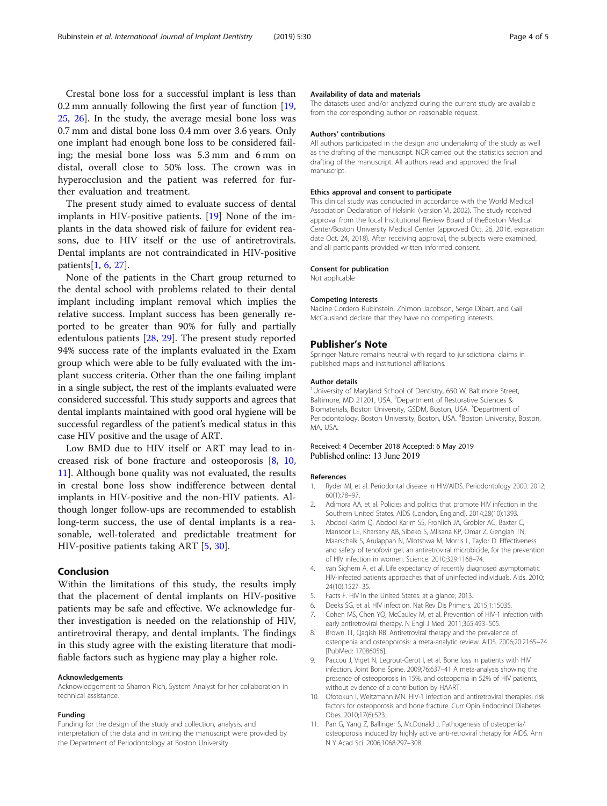<span id="page-3-0"></span>Crestal bone loss for a successful implant is less than 0.2 mm annually following the first year of function [[19](#page-4-0), [25,](#page-4-0) [26\]](#page-4-0). In the study, the average mesial bone loss was 0.7 mm and distal bone loss 0.4 mm over 3.6 years. Only one implant had enough bone loss to be considered failing; the mesial bone loss was 5.3 mm and 6 mm on distal, overall close to 50% loss. The crown was in hyperocclusion and the patient was referred for further evaluation and treatment.

The present study aimed to evaluate success of dental implants in HIV-positive patients. [[19\]](#page-4-0) None of the implants in the data showed risk of failure for evident reasons, due to HIV itself or the use of antiretrovirals. Dental implants are not contraindicated in HIV-positive patients[1, 6, [27\]](#page-4-0).

None of the patients in the Chart group returned to the dental school with problems related to their dental implant including implant removal which implies the relative success. Implant success has been generally reported to be greater than 90% for fully and partially edentulous patients [\[28](#page-4-0), [29\]](#page-4-0). The present study reported 94% success rate of the implants evaluated in the Exam group which were able to be fully evaluated with the implant success criteria. Other than the one failing implant in a single subject, the rest of the implants evaluated were considered successful. This study supports and agrees that dental implants maintained with good oral hygiene will be successful regardless of the patient's medical status in this case HIV positive and the usage of ART.

Low BMD due to HIV itself or ART may lead to increased risk of bone fracture and osteoporosis [8, 10, 11]. Although bone quality was not evaluated, the results in crestal bone loss show indifference between dental implants in HIV-positive and the non-HIV patients. Although longer follow-ups are recommended to establish long-term success, the use of dental implants is a reasonable, well-tolerated and predictable treatment for HIV-positive patients taking ART [5, [30](#page-4-0)].

### Conclusion

Within the limitations of this study, the results imply that the placement of dental implants on HIV-positive patients may be safe and effective. We acknowledge further investigation is needed on the relationship of HIV, antiretroviral therapy, and dental implants. The findings in this study agree with the existing literature that modifiable factors such as hygiene may play a higher role.

#### Acknowledgements

Acknowledgement to Sharron Rich, System Analyst for her collaboration in technical assistance.

#### Funding

Funding for the design of the study and collection, analysis, and interpretation of the data and in writing the manuscript were provided by the Department of Periodontology at Boston University.

#### Availability of data and materials

The datasets used and/or analyzed during the current study are available from the corresponding author on reasonable request.

#### Authors' contributions

All authors participated in the design and undertaking of the study as well as the drafting of the manuscript. NCR carried out the statistics section and drafting of the manuscript. All authors read and approved the final manuscript.

#### Ethics approval and consent to participate

This clinical study was conducted in accordance with the World Medical Association Declaration of Helsinki (version VI, 2002). The study received approval from the local Institutional Review Board of theBoston Medical Center/Boston University Medical Center (approved Oct. 26, 2016, expiration date Oct. 24, 2018). After receiving approval, the subjects were examined, and all participants provided written informed consent.

#### Consent for publication

Not applicable

#### Competing interests

Nadine Cordero Rubinstein, Zhimon Jacobson, Serge Dibart, and Gail McCausland declare that they have no competing interests.

#### Publisher's Note

Springer Nature remains neutral with regard to jurisdictional claims in published maps and institutional affiliations.

#### Author details

<sup>1</sup>University of Maryland School of Dentistry, 650 W. Baltimore Street, Baltimore, MD 21201, USA. <sup>2</sup>Department of Restorative Sciences & Biomaterials, Boston University, GSDM, Boston, USA. <sup>3</sup>Department of Periodontology, Boston University, Boston, USA. <sup>4</sup>Boston University, Boston MA, USA.

#### Received: 4 December 2018 Accepted: 6 May 2019 Published online: 13 June 2019

#### References

- 1. Ryder MI, et al. Periodontal disease in HIV/AIDS. Periodontology 2000. 2012; 60(1):78–97.
- 2. Adimora AA, et al. Policies and politics that promote HIV infection in the Southern United States. AIDS (London, England). 2014;28(10):1393.
- 3. Abdool Karim Q, Abdool Karim SS, Frohlich JA, Grobler AC, Baxter C, Mansoor LE, Kharsany AB, Sibeko S, Mlisana KP, Omar Z, Gengiah TN, Maarschalk S, Arulappan N, Mlotshwa M, Morris L, Taylor D. Effectiveness and safety of tenofovir gel, an antiretroviral microbicide, for the prevention of HIV infection in women. Science. 2010;329:1168–74.
- 4. van Sighem A, et al. Life expectancy of recently diagnosed asymptomatic HIV-infected patients approaches that of uninfected individuals. Aids. 2010; 24(10):1527–35.
- 5. Facts F. HIV in the United States: at a glance; 2013.
- Deeks SG, et al. HIV infection. Nat Rev Dis Primers. 2015;1:15035.
- 7. Cohen MS, Chen YQ, McCauley M, et al. Prevention of HIV-1 infection with early antiretroviral therapy. N Engl J Med. 2011;365:493–505.
- 8. Brown TT, Qaqish RB. Antiretroviral therapy and the prevalence of osteopenia and osteoporosis: a meta-analytic review. AIDS. 2006;20:2165–74 [PubMed: 17086056].
- Paccou J, Viget N, Legrout-Gerot I, et al. Bone loss in patients with HIV infection. Joint Bone Spine. 2009;76:637–41 A meta-analysis showing the presence of osteoporosis in 15%, and osteopenia in 52% of HIV patients, without evidence of a contribution by HAART.
- 10. Ofotokun I, Weitzmann MN. HIV-1 infection and antiretroviral therapies: risk factors for osteoporosis and bone fracture. Curr Opin Endocrinol Diabetes Obes. 2010;17(6):523.
- 11. Pan G, Yang Z, Ballinger S, McDonald J. Pathogenesis of osteopenia/ osteoporosis induced by highly active anti-retroviral therapy for AIDS. Ann N Y Acad Sci. 2006;1068:297–308.